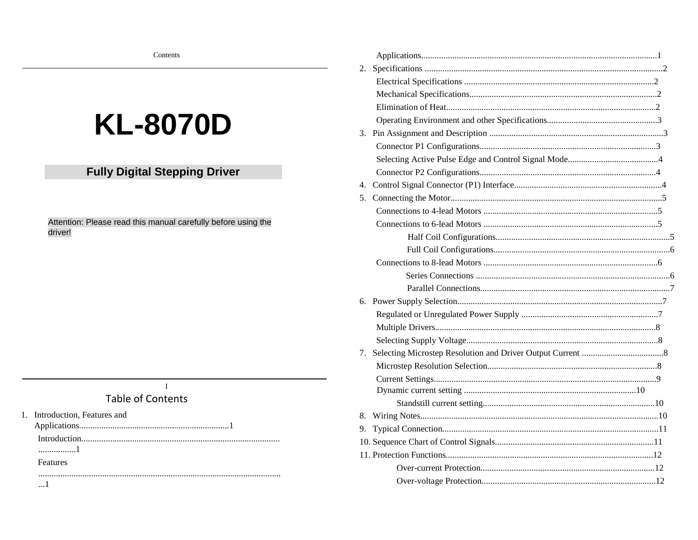# **KL-8070D**

# **Fully Digital Stepping Driver**

Attention: Please read this manual carefully before using the driver!

# $\mathbf{I}$

# **Table of Contents**

- 1. Introduction, Features and
	-

..................1

## Features

| 2. |  |
|----|--|
|    |  |
|    |  |
|    |  |
|    |  |
|    |  |
|    |  |
|    |  |
|    |  |
| 4. |  |
| 5. |  |
|    |  |
|    |  |
|    |  |
|    |  |
|    |  |
|    |  |
|    |  |
|    |  |
|    |  |
|    |  |
|    |  |
| 7. |  |
|    |  |
|    |  |
|    |  |
|    |  |
| 8. |  |
| 9. |  |
|    |  |
|    |  |
|    |  |
|    |  |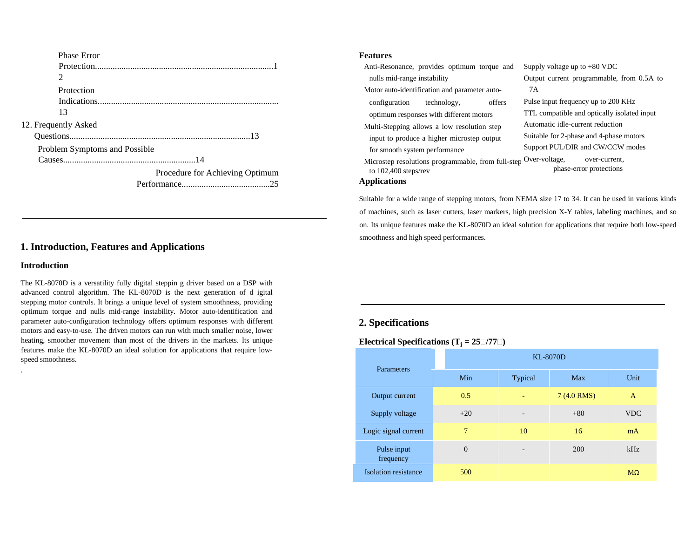| <b>Phase Error</b>            |                                 |
|-------------------------------|---------------------------------|
|                               |                                 |
| 2                             |                                 |
| Protection                    |                                 |
|                               |                                 |
| 13                            |                                 |
| 12. Frequently Asked          |                                 |
|                               |                                 |
| Problem Symptoms and Possible |                                 |
|                               |                                 |
|                               | Procedure for Achieving Optimum |
|                               |                                 |

# **1. Introduction, Features and Applications**

#### **Introduction**

.

The KL-8070D is a versatility fully digital steppin g driver based on a DSP with advanced control algorithm. The KL-8070D is the next generation of d igital stepping motor controls. It brings a unique level of system smoothness, providing optimum torque and nulls mid-range instability. Motor auto-identification and parameter auto-configuration technology offers optimum responses with different motors and easy-to-use. The driven motors can run with much smaller noise, lower heating, smoother movement than most of the drivers in the markets. Its unique features make the KL-8070D an ideal solution for applications that require lowspeed smoothness.

#### **Features**

Anti-Resonance, provides optimum torque and nulls mid-range instability

Motor auto-identification and parameter autoconfiguration technology, offers optimum responses with different motors

Multi-Stepping allows a low resolution step input to produce a higher microstep output for smooth system performance

Supply voltage up to +80 VDC Output current programmable, from 0.5A to 7A

Pulse input frequency up to 200 KHz TTL compatible and optically isolated input Automatic idle-current reduction Suitable for 2-phase and 4-phase motors Support PUL/DIR and CW/CCW modes

phase-error protections

Microstep resolutions programmable, from full-step Over-voltage, over-current, to 102,400 steps/rev

#### **Applications**

Suitable for a wide range of stepping motors, from NEMA size 17 to 34. It can be used in various kindsof machines, such as laser cutters, laser markers, high precision X-Y tables, labeling machines, and so on. Its unique features make the KL-8070D an ideal solution for applications that require both low-speed smoothness and high speed performances.

# **2. Specifications**

**Electrical Specifications (T<sub>i</sub> = 25 /77 )** 

| Parameters               | <b>KL-8070D</b> |                          |            |              |
|--------------------------|-----------------|--------------------------|------------|--------------|
|                          | Min             | Typical                  | Max        | Unit         |
| Output current           | 0.5             | ٠                        | 7(4.0 RMS) | $\mathsf{A}$ |
| Supply voltage           | $+20$           | -                        | $+80$      | <b>VDC</b>   |
| Logic signal current     | 7               | 10                       | 16         | mA           |
| Pulse input<br>frequency | $\theta$        | $\overline{\phantom{0}}$ | <b>200</b> | kHz          |
| Isolation resistance     | 500             |                          |            | $M\Omega$    |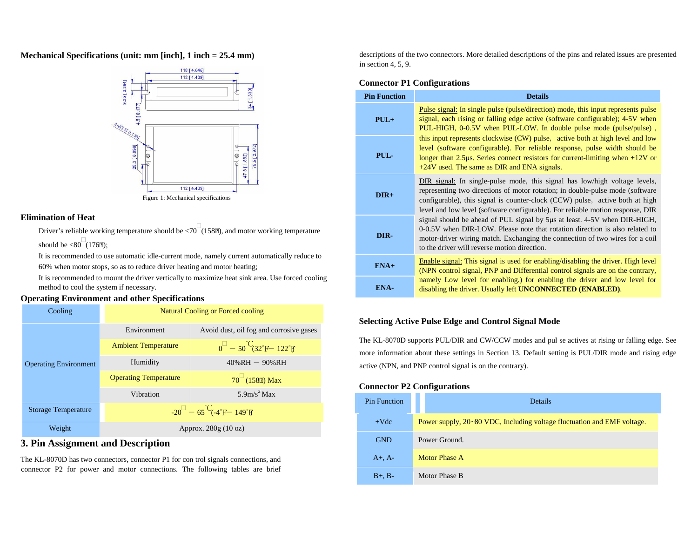**Mechanical Specifications (unit: mm [inch], 1 inch = 25.4 mm)** 



#### **Elimination of Heat**

Driver's reliable working temperature should be  $\langle 70 \ (158) \rangle$ , and motor working temperature

should be  $\langle 80 \ (1762)$ ;

 It is recommended to use automatic idle-current mode, namely current automatically reduce to 60% when motor stops, so as to reduce driver heating and motor heating;

 It is recommended to mount the driver vertically to maximize heat sink area. Use forced cooling method to cool the system if necessary.

### **Operating Environment and other Specifications**



# **3. Pin Assignment and Description**

The KL-8070D has two connectors, connector P1 for con trol signals connections, and connector P2 for power and motor connections. The following tables are brief descriptions of the two connectors. More detailed descriptions of the pins and related issues are presented in section 4, 5, 9.

#### **Connector P1 Configurations**

| <b>Pin Function</b> | <b>Details</b>                                                                                                                                                                                                                                                                                                                |  |  |
|---------------------|-------------------------------------------------------------------------------------------------------------------------------------------------------------------------------------------------------------------------------------------------------------------------------------------------------------------------------|--|--|
| $PUL+$              | Pulse signal: In single pulse (pulse/direction) mode, this input represents pulse<br>signal, each rising or falling edge active (software configurable); 4-5V when<br>PUL-HIGH, 0-0.5V when PUL-LOW. In double pulse mode (pulse/pulse),                                                                                      |  |  |
| PUL-                | this input represents clockwise (CW) pulse, active both at high level and low<br>level (software configurable). For reliable response, pulse width should be<br>longer than 2.5 $\mu$ s. Series connect resistors for current-limiting when $+12V$ or<br>$+24V$ used. The same as DIR and ENA signals.                        |  |  |
| $DIR+$              | DIR signal: In single-pulse mode, this signal has low/high voltage levels,<br>representing two directions of motor rotation; in double-pulse mode (software<br>configurable), this signal is counter-clock (CCW) pulse, active both at high<br>level and low level (software configurable). For reliable motion response, DIR |  |  |
| DIR-                | signal should be ahead of PUL signal by 5µs at least. 4-5V when DIR-HIGH,<br>0-0.5V when DIR-LOW. Please note that rotation direction is also related to<br>motor-driver wiring match. Exchanging the connection of two wires for a coil<br>to the driver will reverse motion direction.                                      |  |  |
| $ENA+$              | Enable signal: This signal is used for enabling/disabling the driver. High level<br>(NPN control signal, PNP and Differential control signals are on the contrary,                                                                                                                                                            |  |  |
| ENA-                | namely Low level for enabling.) for enabling the driver and low level for<br>disabling the driver. Usually left <b>UNCONNECTED</b> ( <b>ENABLED</b> ).                                                                                                                                                                        |  |  |

#### **Selecting Active Pulse Edge and Control Signal Mode**

The KL-8070D supports PUL/DIR and CW/CCW modes and pul se actives at rising or falling edge. See more information about these settings in Section 13. Default setting is PUL/DIR mode and rising edge active (NPN, and PNP control signal is on the contrary).

#### **Connector P2 Configurations**

| <b>Pin Function</b> | Details                                                                 |
|---------------------|-------------------------------------------------------------------------|
| $+Vdc$              | Power supply, 20~80 VDC, Including voltage fluctuation and EMF voltage. |
| <b>GND</b>          | Power Ground.                                                           |
| $A+$ , $A-$         | Motor Phase A                                                           |
| $B+$ , $B-$         | Motor Phase B                                                           |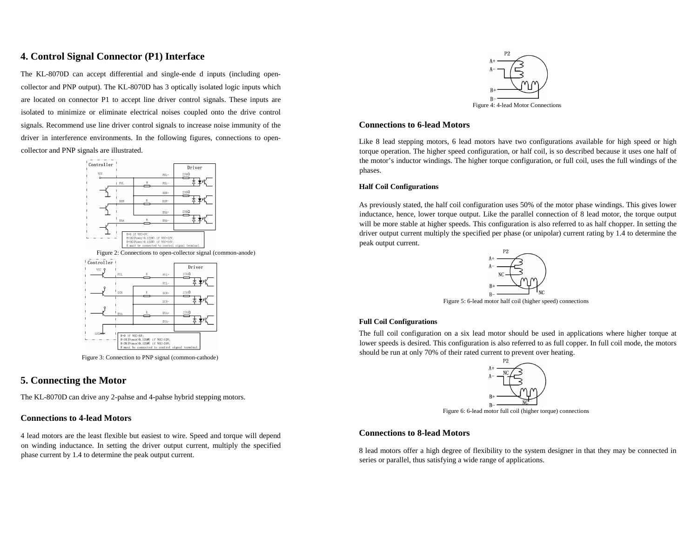# **4. Control Signal Connector (P1) Interface**

The KL-8070D can accept differential and single-ende d inputs (including opencollector and PNP output). The KL-8070D has 3 optically isolated logic inputs which are located on connector P1 to accept line driver control signals. These inputs are isolated to minimize or eliminate electrical noises coupled onto the drive control signals. Recommend use line driver control signals to increase noise immunity of the driver in interference environments. In the following figures, connections to opencollector and PNP signals are illustrated.



Figure 3: Connection to PNP signal (common-cathode)

# **5. Connecting the Motor**

The KL-8070D can drive any 2-pahse and 4-pahse hybrid stepping motors.

#### **Connections to 4-lead Motors**

4 lead motors are the least flexible but easiest to wire. Speed and torque will depend on winding inductance. In setting the driver output current, multiply the specified phase current by 1.4 to determine the peak output current.



#### **Connections to 6-lead Motors**

Like 8 lead stepping motors, 6 lead motors have two configurations available for high speed or high torque operation. The higher speed configuration, or half coil, is so described because it uses one half of the motor's inductor windings. The higher torque configuration, or full coil, uses the full windings of the phases.

#### **Half Coil Configurations**

As previously stated, the half coil configuration uses 50% of the motor phase windings. This gives lower inductance, hence, lower torque output. Like the parallel connection of 8 lead motor, the torque output will be more stable at higher speeds. This configuration is also referred to as half chopper. In setting the driver output current multiply the specified per phase (or unipolar) current rating by 1.4 to determine the peak output current.



Figure 5: 6-lead motor half coil (higher speed) connections

#### **Full Coil Configurations**

The full coil configuration on a six lead motor should be used in applications where higher torque at lower speeds is desired. This configuration is also referred to as full copper. In full coil mode, the motors should be run at only 70% of their rated current to prevent over heating.



Figure 6: 6-lead motor full coil (higher torque) connections

#### **Connections to 8-lead Motors**

8 lead motors offer a high degree of flexibility to the system designer in that they may be connected in series or parallel, thus satisfying a wide range of applications.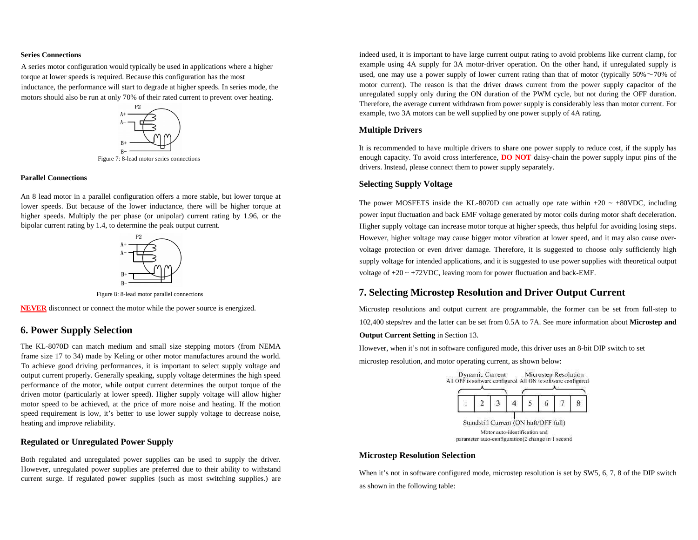#### **Series Connections**

A series motor configuration would typically be used in applications where a higher torque at lower speeds is required. Because this configuration has the most inductance, the performance will start to degrade at higher speeds. In series mode, the motors should also be run at only 70% of their rated current to prevent over heating.



Figure 7: 8-lead motor series connections

#### **Parallel Connections**

An 8 lead motor in a parallel configuration offers a more stable, but lower torque at lower speeds. But because of the lower inductance, there will be higher torque at higher speeds. Multiply the per phase (or unipolar) current rating by 1.96, or the bipolar current rating by 1.4, to determine the peak output current.



Figure 8: 8-lead motor parallel connections

**NEVER** disconnect or connect the motor while the power source is energized.

# **6. Power Supply Selection**

The KL-8070D can match medium and small size stepping motors (from NEMA frame size 17 to 34) made by Keling or other motor manufactures around the world. To achieve good driving performances, it is important to select supply voltage and output current properly. Generally speaking, supply voltage determines the high speed performance of the motor, while output current determines the output torque of the driven motor (particularly at lower speed). Higher supply voltage will allow higher motor speed to be achieved, at the price of more noise and heating. If the motion speed requirement is low, it's better to use lower supply voltage to decrease noise, heating and improve reliability.

#### **Regulated or Unregulated Power Supply**

Both regulated and unregulated power supplies can be used to supply the driver. However, unregulated power supplies are preferred due to their ability to withstand current surge. If regulated power supplies (such as most switching supplies.) are indeed used, it is important to have large current output rating to avoid problems like current clamp, for example using 4A supply for 3A motor-driver operation. On the other hand, if unregulated supply is used, one may use a power supply of lower current rating than that of motor (typically  $50\% \sim 70\%$  of motor current). The reason is that the driver draws current from the power supply capacitor of the unregulated supply only during the ON duration of the PWM cycle, but not during the OFF duration. Therefore, the average current withdrawn from power supply is considerably less than motor current. For example, two 3A motors can be well supplied by one power supply of 4A rating.

#### **Multiple Drivers**

It is recommended to have multiple drivers to share one power supply to reduce cost, if the supply has enough capacity. To avoid cross interference, **DO NOT** daisy-chain the power supply input pins of the drivers. Instead, please connect them to power supply separately.

#### **Selecting Supply Voltage**

The power MOSFETS inside the KL-8070D can actually ope rate within  $+20 \sim +80$ VDC, including power input fluctuation and back EMF voltage generated by motor coils during motor shaft deceleration.Higher supply voltage can increase motor torque at higher speeds, thus helpful for avoiding losing steps. However, higher voltage may cause bigger motor vibration at lower speed, and it may also cause overvoltage protection or even driver damage. Therefore, it is suggested to choose only sufficiently high supply voltage for intended applications, and it is suggested to use power supplies with theoretical output voltage of  $+20 \sim +72$ VDC, leaving room for power fluctuation and back-EMF.

# **7. Selecting Microstep Resolution and Driver Output Current**

Microstep resolutions and output current are programmable, the former can be set from full-step to 102,400 steps/rev and the latter can be set from 0.5A to 7A. See more information about **Microstep and** 

**Output Current Setting** in Section 13.

However, when it's not in software configured mode, this driver uses an 8-bit DIP switch to set

microstep resolution, and motor operating current, as shown below:



#### **Microstep Resolution Selection**

When it's not in software configured mode, microstep resolution is set by SW5, 6, 7, 8 of the DIP switch as shown in the following table: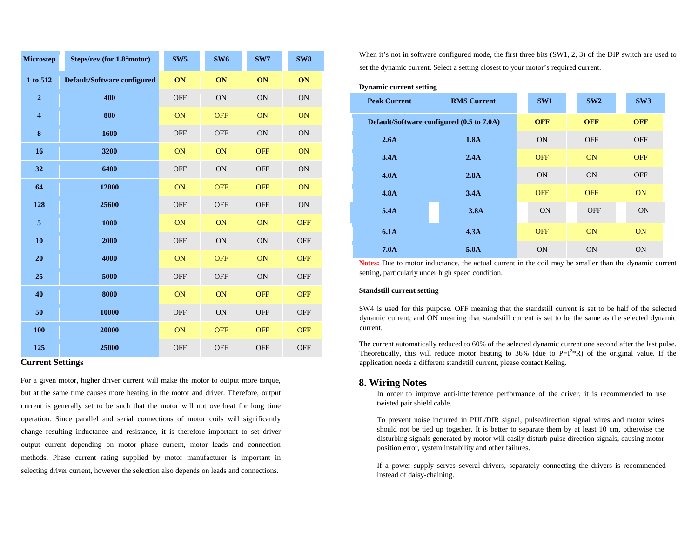| <b>Microstep</b>        | Steps/rev.(for 1.8°motor)   | SW <sub>5</sub> | SW <sub>6</sub> | SW7        | SW <sub>8</sub> |
|-------------------------|-----------------------------|-----------------|-----------------|------------|-----------------|
| 1 to 512                | Default/Software configured | ON              | ON              | ON         | ON              |
| $\boldsymbol{2}$        | 400                         | <b>OFF</b>      | <b>ON</b>       | <b>ON</b>  | ON              |
| $\overline{\mathbf{4}}$ | 800                         | ON              | <b>OFF</b>      | ON         | ON              |
| ${\bf 8}$               | 1600                        | <b>OFF</b>      | <b>OFF</b>      | <b>ON</b>  | ON              |
| 16                      | 3200                        | ON              | ON              | <b>OFF</b> | ON              |
| 32                      | 6400                        | <b>OFF</b>      | <b>ON</b>       | <b>OFF</b> | ON              |
| 64                      | 12800                       | ON              | <b>OFF</b>      | <b>OFF</b> | ON              |
| 128                     | 25600                       | <b>OFF</b>      | <b>OFF</b>      | <b>OFF</b> | ON              |
| $\overline{5}$          | 1000                        | ON              | ON              | ON         | <b>OFF</b>      |
| 10                      | 2000                        | <b>OFF</b>      | <b>ON</b>       | ON         | <b>OFF</b>      |
| 20                      | 4000                        | ON              | <b>OFF</b>      | ON         | <b>OFF</b>      |
| 25                      | 5000                        | <b>OFF</b>      | <b>OFF</b>      | ON         | OFF             |
| 40                      | 8000                        | ON              | ON              | <b>OFF</b> | <b>OFF</b>      |
| 50                      | 10000                       | <b>OFF</b>      | <b>ON</b>       | <b>OFF</b> | <b>OFF</b>      |
| 100                     | 20000                       | ON              | <b>OFF</b>      | <b>OFF</b> | <b>OFF</b>      |
| 125                     | 25000                       | <b>OFF</b>      | <b>OFF</b>      | <b>OFF</b> | <b>OFF</b>      |

#### **Current Settings**

For a given motor, higher driver current will make the motor to output more torque, but at the same time causes more heating in the motor and driver. Therefore, output current is generally set to be such that the motor will not overheat for long time operation. Since parallel and serial connections of motor coils will significantly change resulting inductance and resistance, it is therefore important to set driver output current depending on motor phase current, motor leads and connection methods. Phase current rating supplied by motor manufacturer is important in selecting driver current, however the selection also depends on leads and connections.

When it's not in software configured mode, the first three bits (SW1, 2, 3) of the DIP switch are used to set the dynamic current. Select a setting closest to your motor's required current.

#### **Dynamic current setting**

| <b>Peak Current</b> | <b>RMS Current</b>                        | SW1        | SW2        | SW3        |
|---------------------|-------------------------------------------|------------|------------|------------|
|                     | Default/Software configured (0.5 to 7.0A) | <b>OFF</b> | <b>OFF</b> | <b>OFF</b> |
| 2.6A                | 1.8A                                      | <b>ON</b>  | <b>OFF</b> | <b>OFF</b> |
| 3.4A                | 2.4A                                      | <b>OFF</b> | ON         | <b>OFF</b> |
| 4.0 <sub>A</sub>    | 2.8A                                      | <b>ON</b>  | <b>ON</b>  | <b>OFF</b> |
| <b>4.8A</b>         | 3.4A                                      | <b>OFF</b> | <b>OFF</b> | <b>ON</b>  |
| 5.4A                | 3.8A                                      | <b>ON</b>  | <b>OFF</b> | <b>ON</b>  |
| 6.1A                | 4.3A                                      | <b>OFF</b> | ON         | <b>ON</b>  |
| 7.0 <sub>A</sub>    | 5.0A                                      | <b>ON</b>  | <b>ON</b>  | <b>ON</b>  |

**Notes:** Due to motor inductance, the actual current in the coil may be smaller than the dynamic current setting, particularly under high speed condition.

#### **Standstill current setting**

SW4 is used for this purpose. OFF meaning that the standstill current is set to be half of the selected dynamic current, and ON meaning that standstill current is set to be the same as the selected dynamic current.

The current automatically reduced to 60% of the selected dynamic current one second after the last pulse. Theoretically, this will reduce motor heating to 36% (due to  $P=I^{2*}R$ ) of the original value. If the application needs a different standstill current, please contact Keling.

#### **8. Wiring Notes**

 In order to improve anti-interference performance of the driver, it is recommended to use twisted pair shield cable.

To prevent noise incurred in PUL/DIR signal, pulse/direction signal wires and motor wires should not be tied up together. It is better to separate them by at least 10 cm, otherwise the disturbing signals generated by motor will easily disturb pulse direction signals, causing motor position error, system instability and other failures.

If a power supply serves several drivers, separately connecting the drivers is recommended instead of daisy-chaining.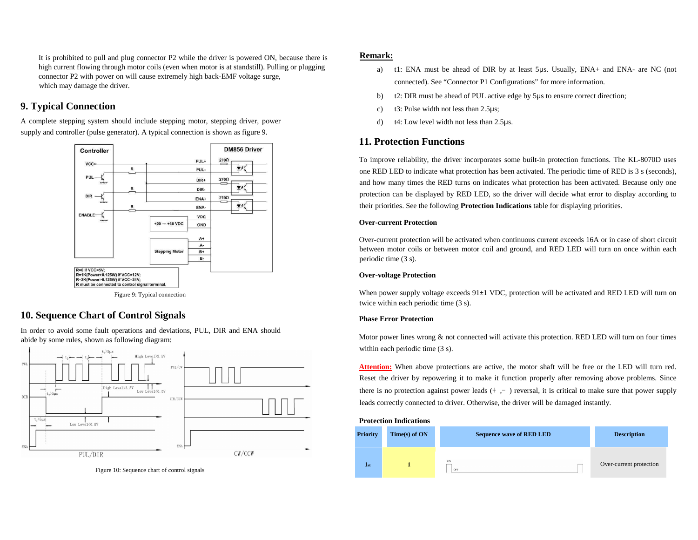It is prohibited to pull and plug connector P2 while the driver is powered ON, because there is high current flowing through motor coils (even when motor is at standstill). Pulling or plugging connector P2 with power on will cause extremely high back-EMF voltage surge, which may damage the driver.

# **9. Typical Connection**

A complete stepping system should include stepping motor, stepping driver, power supply and controller (pulse generator). A typical connection is shown as figure 9.



Figure 9: Typical connection

# **10. Sequence Chart of Control Signals**

In order to avoid some fault operations and deviations, PUL, DIR and ENA should abide by some rules, shown as following diagram:



Figure 10: Sequence chart of control signals

#### **Remark:**

- a) t1: ENA must be ahead of DIR by at least 5µs. Usually, ENA+ and ENA- are NC (not connected). See "Connector P1 Configurations" for more information.
- b)t2: DIR must be ahead of PUL active edge by 5µs to ensure correct direction;
- c)t3: Pulse width not less than 2.5µs;
- d)t4: Low level width not less than 2.5µs.

## **11. Protection Functions**

To improve reliability, the driver incorporates some built-in protection functions. The KL-8070D uses one RED LED to indicate what protection has been activated. The periodic time of RED is 3 s (seconds),and how many times the RED turns on indicates what protection has been activated. Because only one protection can be displayed by RED LED, so the driver will decide what error to display according to their priorities. See the following **Protection Indications** table for displaying priorities.

#### **Over-current Protection**

Over-current protection will be activated when continuous current exceeds 16A or in case of short circuit between motor coils or between motor coil and ground, and RED LED will turn on once within each periodic time (3 s).

#### **Over-voltage Protection**

When power supply voltage exceeds 91±1 VDC, protection will be activated and RED LED will turn on twice within each periodic time (3 s).

#### **Phase Error Protection**

Motor power lines wrong & not connected will activate this protection. RED LED will turn on four timeswithin each periodic time  $(3 s)$ .

**Attention:** When above protections are active, the motor shaft will be free or the LED will turn red. Reset the driver by repowering it to make it function properly after removing above problems. Since there is no protection against power leads  $(†, -)$  reversal, it is critical to make sure that power supply leads correctly connected to driver. Otherwise, the driver will be damaged instantly.

#### **Protection Indications**

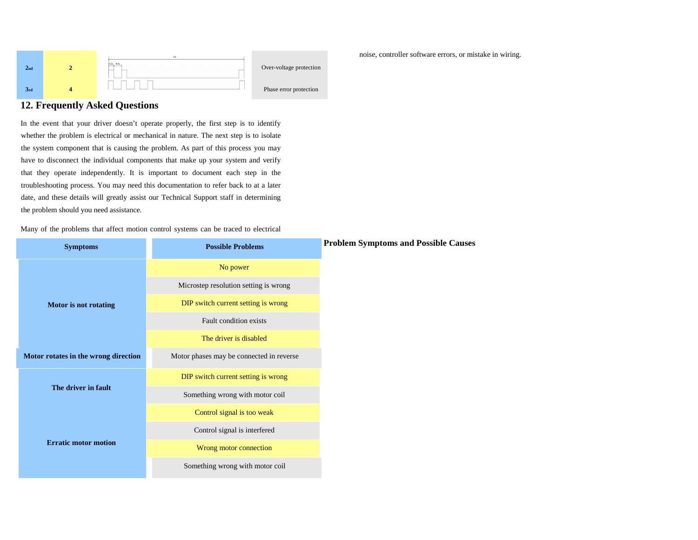

# **12. Frequently Asked Questions**

In the event that your driver doesn't operate properly, the first step is to identify whether the problem is electrical or mechanical in nature. The next step is to isolate the system component that is causing the problem. As part of this process you may have to disconnect the individual components that make up your system and verify that they operate independently. It is important to document each step in the troubleshooting process. You may need this documentation to refer back to at a later date, and these details will greatly assist our Technical Support staff in determining the problem should you need assistance.

Many of the problems that affect motion control systems can be traced to electrical

| <b>Symptoms</b>                      | <b>Possible Problems</b>                 | <b>Problem Symptoms and Possible Causes</b> |
|--------------------------------------|------------------------------------------|---------------------------------------------|
|                                      | No power                                 |                                             |
|                                      | Microstep resolution setting is wrong    |                                             |
| <b>Motor</b> is not rotating         | DIP switch current setting is wrong      |                                             |
|                                      | Fault condition exists                   |                                             |
|                                      | The driver is disabled                   |                                             |
| Motor rotates in the wrong direction | Motor phases may be connected in reverse |                                             |
|                                      | DIP switch current setting is wrong      |                                             |
| The driver in fault                  | Something wrong with motor coil          |                                             |
|                                      | Control signal is too weak               |                                             |
|                                      | Control signal is interfered             |                                             |
| <b>Erratic motor motion</b>          | Wrong motor connection                   |                                             |
|                                      | Something wrong with motor coil          |                                             |

noise, controller software errors, or mistake in wiring.